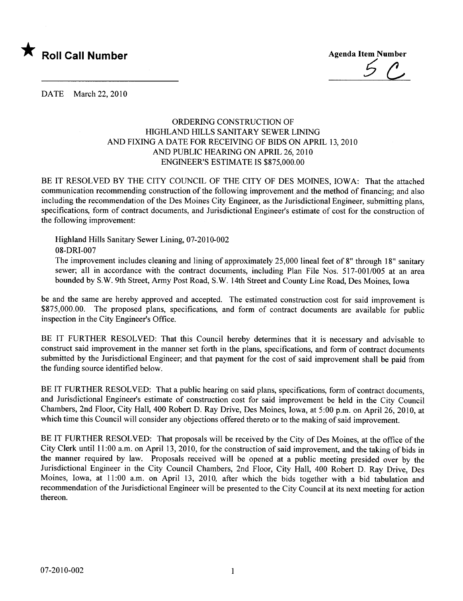

DATE March 22, 2010

## ORDERING CONSTRUCTION OF HIGHLAND HILLS SANITARY SEWER LINING AND FIXING A DATE FOR RECEIVING OF BIDS ON APRIL 13,2010 AND PUBLIC HEARING ON APRIL 26, 2010 ENGINEER'S ESTIMATE IS \$875,000.00

BE IT RESOLVED BY THE CITY COUNCIL OF THE CITY OF DES MOINES, IOWA: That the attached communication recommending construction of the following improvement and the method of financing; and also including the recommendation of the Des Moines City Engineer, as the Jurisdictional Engineer, submitting plans, specifications, form of contract documents, and Jurisdictional Engineer's estimate of cost for the construction of the following improvement:

Highland Hils Sanitary Sewer Lining, 07-2010-002 08-DRI-007

The improvement includes cleaning and lining of approximately 25,000 lineal feet of 8" through 18" sanitary sewer; all in accordance with the contract documents, including Plan File Nos. 517-001/005 at an area bounded by S.W. 9th Street, Army Post Road, S.W. 14th Street and County Line Road, Des Moines, Iowa

be and the same are hereby approved and accepted. The estimated construction cost for said improvement is \$875,000.00. The proposed plans, specifications, and form of contract documents are available for public inspection in the City Engineer's Office.

BE IT FURTHER RESOLVED: That this Council hereby determines that it is necessary and advisable to construct said improvement in the manner set forth in the plans, specifications, and form of contract documents submitted by the Jurisdictional Engineer; and that payment for the cost of said improvement shall be paid from the funding source identified below.

BE IT FURTHER RESOLVED: That a public hearing on said plans, specifications, form of contract documents, and Jurisdictional Engineer's estimate of construction cost for said improvement be held in the City Council Chambers, 2nd Floor, City Hall, 400 Robert D. Ray Drive, Des Moines, Iowa, at 5:00 p.m. on April 26, 2010, at which time this Council will consider any objections offered thereto or to the making of said improvement.

BE IT FURTHER RESOLVED: That proposals will be received by the City of Des Moines, at the office of the City Clerk until 11 :00 a.m. on April 13, 2010, for the construction of said improvement, and the taking of bids in the manner required by law. Proposals received will be opened at a public meeting presided over by the Jurisdictional Engineer in the City Council Chambers, 2nd Floor, City Hall, 400 Robert D. Ray Drive, Des Moines, Iowa, at 11:00 a.m. on April 13, 2010, after which the bids together with a bid tabulation and recommendation of the Jurisdictional Engineer will be presented to the City Council at its next meeting for action thereon.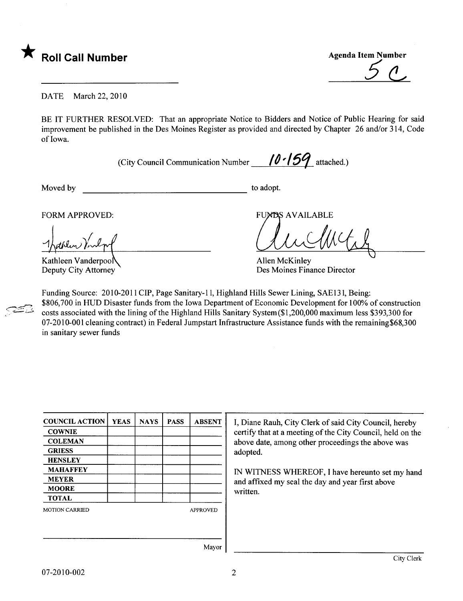

\* Roll Call Number<br>
Agenda Item Number<br>
5

DATE March 22, 2010

BE IT FURTHER RESOLVED: That an appropriate Notice to Bidders and Notice of Public Hearing for said improvement be published in the Des Moines Register as provided and directed by Chapter 26 and/or 314, Code of Iowa.

(City Council Communication Number  $\frac{10.159}{10.56}$  attached.)

 $\approx$   $\approx$ 

Moved by to adopt.

FORM APPROVED: THE SERVICE OF STREET AND THE SERVAL APPROVED:

Thathlen Vin

Kathleen Vanderpoo Deputy City Attorney

**Allen McKinley** Des Moines Finance Director

Funding Source: 2010-2011 CIP, Page Sanitary-11, Highland Hills Sewer Lining, SAE131, Being: \$806,700 in HUD Disaster funds from the Iowa Department of Economic Development for 100% of construction costs associated with the lining of the Highland Hils Sanitary System(\$1,200,000 maximum less \$393,300 for 07-2010-001 cleaning contract) in Federal Jumpstart Infrastructure Assistance funds with the remaining\$68,300 in sanitary sewer funds

| <b>COUNCIL ACTION</b> | <b>YEAS</b> | <b>NAYS</b>     | <b>PASS</b> | <b>ABSENT</b> |  |  |
|-----------------------|-------------|-----------------|-------------|---------------|--|--|
| <b>COWNIE</b>         |             |                 |             |               |  |  |
| <b>COLEMAN</b>        |             |                 |             |               |  |  |
| <b>GRIESS</b>         |             |                 |             |               |  |  |
| <b>HENSLEY</b>        |             |                 |             |               |  |  |
| <b>MAHAFFEY</b>       |             |                 |             |               |  |  |
| <b>MEYER</b>          |             |                 |             |               |  |  |
| <b>MOORE</b>          |             |                 |             |               |  |  |
| <b>TOTAL</b>          |             |                 |             |               |  |  |
| <b>MOTION CARRIED</b> |             | <b>APPROVED</b> |             |               |  |  |
|                       |             |                 |             |               |  |  |
|                       |             |                 |             |               |  |  |
|                       |             |                 |             | Mavor         |  |  |

I, Diane Rauh, City Clerk of said City Council, hereby certify that at a meeting of the City Council, held on the above date, among other proceedings the above was adopted.

IN WITNESS WHREOF, I have hereunto set my hand and affxed my seal the day and year first above written.

Mayor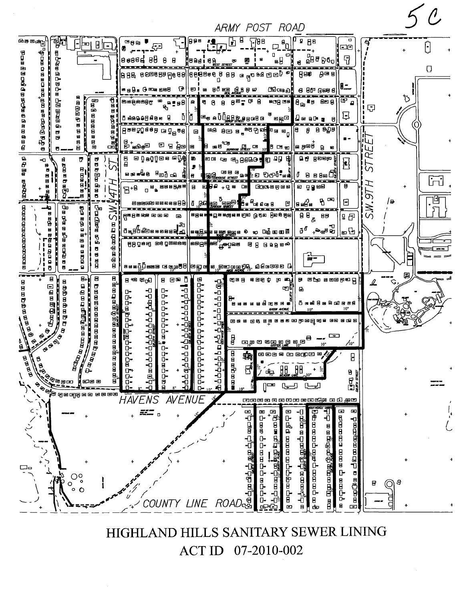

HIGHLAND HILLS SANITARY SEWER LINING 07-2010-002 **ACT ID**